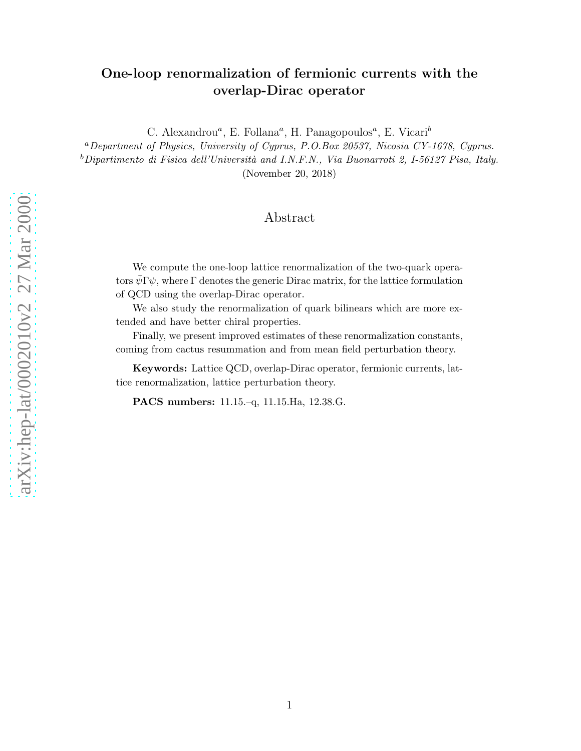# One-loop renormalization of fermionic currents with the overlap-Dirac operator

C. Alexandrou<sup>a</sup>, E. Follana<sup>a</sup>, H. Panagopoulos<sup>a</sup>, E. Vicari<sup>b</sup>

<sup>a</sup>Department of Physics, University of Cyprus, P.O.Box 20537, Nicosia CY-1678, Cyprus.  $b$ Dipartimento di Fisica dell'Università and I.N.F.N., Via Buonarroti 2, I-56127 Pisa, Italy.

(November 20, 2018)

# Abstract

We compute the one-loop lattice renormalization of the two-quark operators  $\psi \Gamma \psi$ , where  $\Gamma$  denotes the generic Dirac matrix, for the lattice formulation of QCD using the overlap-Dirac operator.

We also study the renormalization of quark bilinears which are more extended and have better chiral properties.

Finally, we present improved estimates of these renormalization constants, coming from cactus resummation and from mean field perturbation theory.

Keywords: Lattice QCD, overlap-Dirac operator, fermionic currents, lattice renormalization, lattice perturbation theory.

PACS numbers: 11.15.–q, 11.15.Ha, 12.38.G.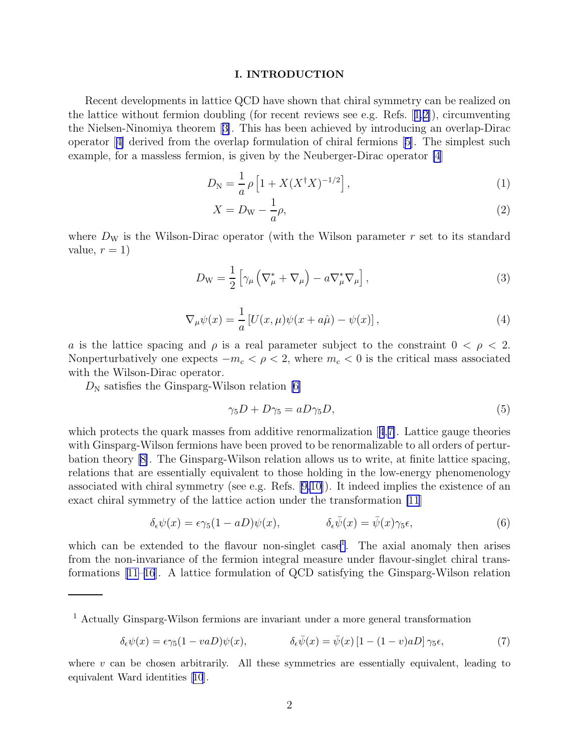### I. INTRODUCTION

<span id="page-1-0"></span>Recent developments in lattice QCD have shown that chiral symmetry can be realized on thelattice without fermion doubling (for recent reviews see e.g. Refs.  $[1,2]$  $[1,2]$ ), circumventing the Nielsen-Ninomiya theorem[[3\]](#page-12-0). This has been achieved by introducing an overlap-Dirac operator[[4\]](#page-12-0) derived from the overlap formulation of chiral fermions[[5\]](#page-12-0). The simplest such example, for a massless fermion, is given by the Neuberger-Dirac operator [\[4](#page-12-0)]

$$
D_N = \frac{1}{a} \rho \left[ 1 + X(X^{\dagger} X)^{-1/2} \right],\tag{1}
$$

$$
X = D_{\rm W} - \frac{1}{a}\rho,\tag{2}
$$

where  $D_W$  is the Wilson-Dirac operator (with the Wilson parameter r set to its standard value,  $r = 1$ )

$$
D_{\rm W} = \frac{1}{2} \left[ \gamma_{\mu} \left( \nabla_{\mu}^{*} + \nabla_{\mu} \right) - a \nabla_{\mu}^{*} \nabla_{\mu} \right], \tag{3}
$$

$$
\nabla_{\mu}\psi(x) = \frac{1}{a} \left[ U(x,\mu)\psi(x+a\hat{\mu}) - \psi(x) \right],\tag{4}
$$

a is the lattice spacing and  $\rho$  is a real parameter subject to the constraint  $0 < \rho < 2$ . Nonperturbatively one expects  $-m_c < \rho < 2$ , where  $m_c < 0$  is the critical mass associated with the Wilson-Dirac operator.

 $D_N$  satisfies the Ginsparg-Wilson relation [\[6](#page-12-0)]

$$
\gamma_5 D + D\gamma_5 = aD\gamma_5 D,\tag{5}
$$

whichprotects the quark masses from additive renormalization  $[4,7]$  $[4,7]$  $[4,7]$  $[4,7]$ . Lattice gauge theories with Ginsparg-Wilson fermions have been proved to be renormalizable to all orders of perturbation theory[[8\]](#page-12-0). The Ginsparg-Wilson relation allows us to write, at finite lattice spacing, relations that are essentially equivalent to those holding in the low-energy phenomenology associated with chiral symmetry (see e.g. Refs. [\[9,10\]](#page-12-0)). It indeed implies the existence of an exact chiral symmetry of the lattice action under the transformation [\[11](#page-12-0)]

$$
\delta_{\epsilon}\psi(x) = \epsilon \gamma_5 (1 - aD)\psi(x), \qquad \delta_{\epsilon}\bar{\psi}(x) = \bar{\psi}(x)\gamma_5 \epsilon, \tag{6}
$$

which can be extended to the flavour non-singlet case<sup>1</sup>. The axial anomaly then arises from the non-invariance of the fermion integral measure under flavour-singlet chiral transformations [\[11–](#page-12-0)[16](#page-13-0)]. A lattice formulation of QCD satisfying the Ginsparg-Wilson relation

$$
\delta_{\epsilon}\psi(x) = \epsilon \gamma_5 (1 - v a D)\psi(x), \qquad \delta_{\epsilon}\bar{\psi}(x) = \bar{\psi}(x) \left[1 - (1 - v)a D\right] \gamma_5 \epsilon,\tag{7}
$$

<sup>1</sup> Actually Ginsparg-Wilson fermions are invariant under a more general transformation

where  $v$  can be chosen arbitrarily. All these symmetries are essentially equivalent, leading to equivalent Ward identities[[10](#page-12-0)].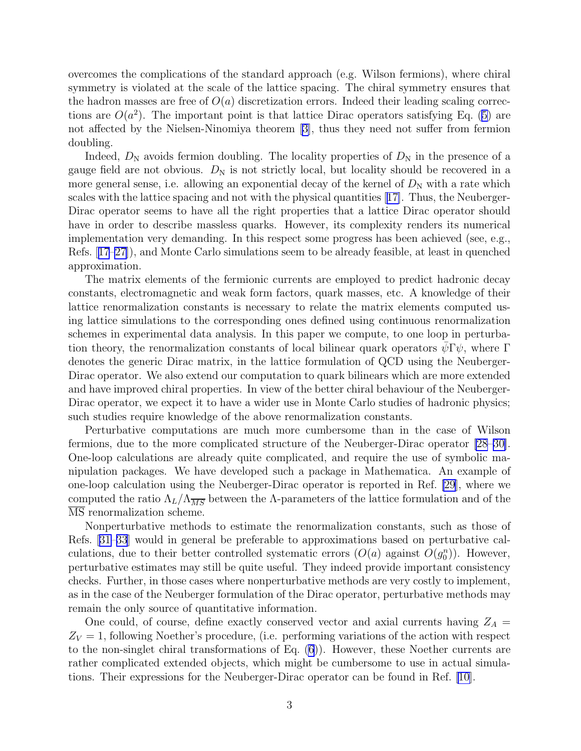overcomes the complications of the standard approach (e.g. Wilson fermions), where chiral symmetry is violated at the scale of the lattice spacing. The chiral symmetry ensures that the hadron masses are free of  $O(a)$  discretization errors. Indeed their leading scaling corrections are  $O(a^2)$ . The important point is that lattice Dirac operators satisfying Eq. ([5\)](#page-1-0) are not affected by the Nielsen-Ninomiya theorem[[3\]](#page-12-0), thus they need not suffer from fermion doubling.

Indeed,  $D_{\rm N}$  avoids fermion doubling. The locality properties of  $D_{\rm N}$  in the presence of a gauge field are not obvious.  $D_N$  is not strictly local, but locality should be recovered in a more general sense, i.e. allowing an exponential decay of the kernel of  $D<sub>N</sub>$  with a rate which scales with the lattice spacing and not with the physical quantities[[17\]](#page-13-0). Thus, the Neuberger-Dirac operator seems to have all the right properties that a lattice Dirac operator should have in order to describe massless quarks. However, its complexity renders its numerical implementation very demanding. In this respect some progress has been achieved (see, e.g., Refs.[[17–27\]](#page-13-0)), and Monte Carlo simulations seem to be already feasible, at least in quenched approximation.

The matrix elements of the fermionic currents are employed to predict hadronic decay constants, electromagnetic and weak form factors, quark masses, etc. A knowledge of their lattice renormalization constants is necessary to relate the matrix elements computed using lattice simulations to the corresponding ones defined using continuous renormalization schemes in experimental data analysis. In this paper we compute, to one loop in perturbation theory, the renormalization constants of local bilinear quark operators  $\psi \Gamma \psi$ , where Γ denotes the generic Dirac matrix, in the lattice formulation of QCD using the Neuberger-Dirac operator. We also extend our computation to quark bilinears which are more extended and have improved chiral properties. In view of the better chiral behaviour of the Neuberger-Dirac operator, we expect it to have a wider use in Monte Carlo studies of hadronic physics; such studies require knowledge of the above renormalization constants.

Perturbative computations are much more cumbersome than in the case of Wilson fermions, due to the more complicated structure of the Neuberger-Dirac operator [\[28–30\]](#page-13-0). One-loop calculations are already quite complicated, and require the use of symbolic manipulation packages. We have developed such a package in Mathematica. An example of one-loop calculation using the Neuberger-Dirac operator is reported in Ref. [\[29\]](#page-13-0), where we computed the ratio  $\Lambda_L/\Lambda_{\overline{MS}}$  between the  $\Lambda$ -parameters of the lattice formulation and of the MS renormalization scheme.

Nonperturbative methods to estimate the renormalization constants, such as those of Refs.[[31–33](#page-13-0)] would in general be preferable to approximations based on perturbative calculations, due to their better controlled systematic errors  $(O(a)$  against  $O(g_0^n))$ . However, perturbative estimates may still be quite useful. They indeed provide important consistency checks. Further, in those cases where nonperturbative methods are very costly to implement, as in the case of the Neuberger formulation of the Dirac operator, perturbative methods may remain the only source of quantitative information.

One could, of course, define exactly conserved vector and axial currents having  $Z_A =$  $Z_V = 1$ , following Noether's procedure, (i.e. performing variations of the action with respect to the non-singlet chiral transformations of Eq. [\(6](#page-1-0))). However, these Noether currents are rather complicated extended objects, which might be cumbersome to use in actual simulations. Their expressions for the Neuberger-Dirac operator can be found in Ref. [\[10](#page-12-0)].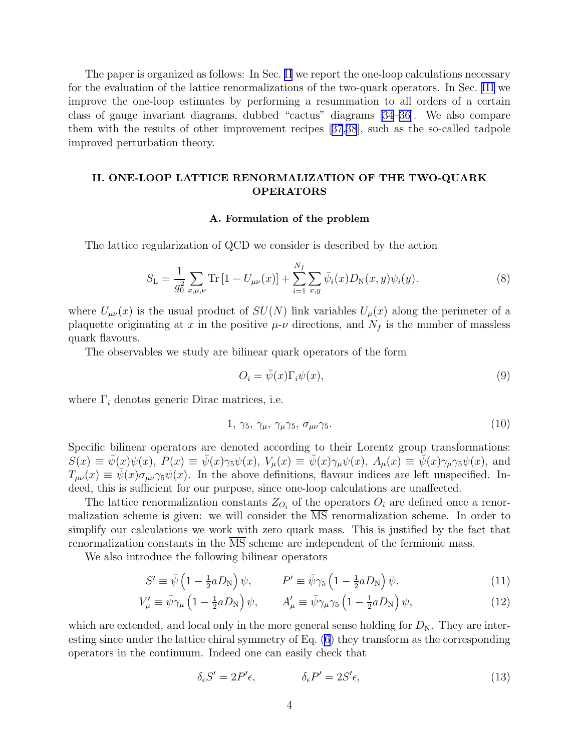<span id="page-3-0"></span>The paper is organized as follows: In Sec. II we report the one-loop calculations necessary for the evaluation of the lattice renormalizations of the two-quark operators. In Sec. [III](#page-8-0) we improve the one-loop estimates by performing a resummation to all orders of a certain class of gauge invariant diagrams, dubbed "cactus" diagrams [\[34–36\]](#page-13-0). We also compare them with the results of other improvement recipes[[37](#page-13-0),[38](#page-13-0)], such as the so-called tadpole improved perturbation theory.

# II. ONE-LOOP LATTICE RENORMALIZATION OF THE TWO-QUARK OPERATORS

### A. Formulation of the problem

The lattice regularization of QCD we consider is described by the action

$$
S_{\rm L} = \frac{1}{g_0^2} \sum_{x,\mu,\nu} \text{Tr} \left[ 1 - U_{\mu\nu}(x) \right] + \sum_{i=1}^{N_f} \sum_{x,y} \bar{\psi}_i(x) D_{\rm N}(x,y) \psi_i(y). \tag{8}
$$

where  $U_{\mu\nu}(x)$  is the usual product of  $SU(N)$  link variables  $U_{\mu}(x)$  along the perimeter of a plaquette originating at x in the positive  $\mu$ - $\nu$  directions, and  $N_f$  is the number of massless quark flavours.

The observables we study are bilinear quark operators of the form

$$
O_i = \bar{\psi}(x)\Gamma_i\psi(x),\tag{9}
$$

where  $\Gamma_i$  denotes generic Dirac matrices, i.e.

$$
1, \gamma_5, \gamma_\mu, \gamma_\mu \gamma_5, \sigma_{\mu\nu} \gamma_5. \tag{10}
$$

Specific bilinear operators are denoted according to their Lorentz group transformations:  $S(x) \equiv \bar{\psi}(x)\psi(x), P(x) \equiv \bar{\psi}(x)\gamma_5\psi(x), V_\mu(x) \equiv \bar{\psi}(x)\gamma_\mu\psi(x), A_\mu(x) \equiv \bar{\psi}(x)\gamma_\mu\gamma_5\psi(x),$  and  $T_{\mu\nu}(x) \equiv \bar{\psi}(x)\sigma_{\mu\nu}\gamma_5\psi(x)$ . In the above definitions, flavour indices are left unspecified. Indeed, this is sufficient for our purpose, since one-loop calculations are unaffected.

The lattice renormalization constants  $Z_{O_i}$  of the operators  $O_i$  are defined once a renormalization scheme is given: we will consider the  $\overline{\text{MS}}$  renormalization scheme. In order to simplify our calculations we work with zero quark mass. This is justified by the fact that renormalization constants in the MS scheme are independent of the fermionic mass.

We also introduce the following bilinear operators

$$
S' \equiv \bar{\psi} \left( 1 - \frac{1}{2} a D_{\rm N} \right) \psi, \qquad P' \equiv \bar{\psi} \gamma_5 \left( 1 - \frac{1}{2} a D_{\rm N} \right) \psi, \tag{11}
$$

$$
V'_{\mu} \equiv \bar{\psi}\gamma_{\mu} \left(1 - \frac{1}{2}aD_{\rm N}\right)\psi, \qquad A'_{\mu} \equiv \bar{\psi}\gamma_{\mu}\gamma_{5} \left(1 - \frac{1}{2}aD_{\rm N}\right)\psi,\tag{12}
$$

which are extended, and local only in the more general sense holding for  $D_N$ . They are interesting since under the lattice chiral symmetry of Eq. [\(6](#page-1-0)) they transform as the corresponding operators in the continuum. Indeed one can easily check that

$$
\delta_{\epsilon} S' = 2P'\epsilon, \qquad \delta_{\epsilon} P' = 2S'\epsilon, \qquad (13)
$$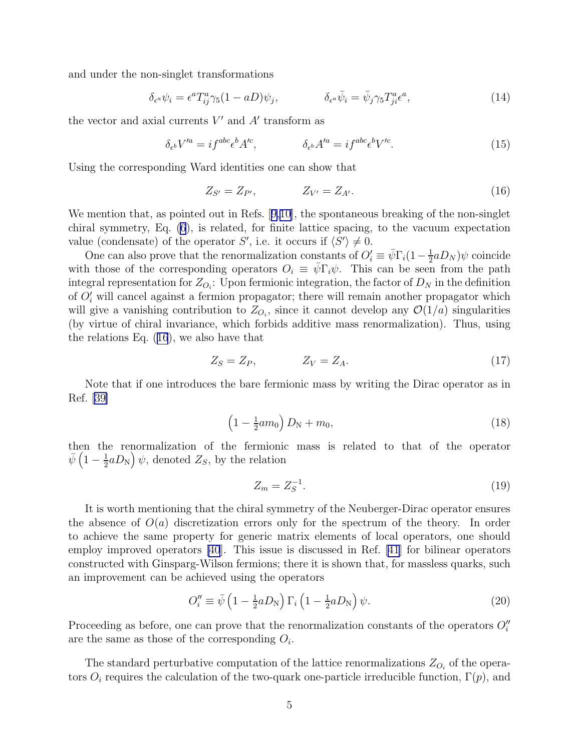and under the non-singlet transformations

$$
\delta_{\epsilon^a} \psi_i = \epsilon^a T^a_{ij} \gamma_5 (1 - aD) \psi_j, \qquad \delta_{\epsilon^a} \bar{\psi}_i = \bar{\psi}_j \gamma_5 T^a_{ji} \epsilon^a, \qquad (14)
$$

the vector and axial currents  $V'$  and  $A'$  transform as

$$
\delta_{\epsilon^b} V'^a = i f^{abc} \epsilon^b A'^c, \qquad \delta_{\epsilon^b} A'^a = i f^{abc} \epsilon^b V'^c. \tag{15}
$$

Using the corresponding Ward identities one can show that

$$
Z_{S'} = Z_{P'}, \t Z_{V'} = Z_{A'}.
$$
\t(16)

Wemention that, as pointed out in Refs. [[9,10\]](#page-12-0), the spontaneous breaking of the non-singlet chiral symmetry, Eq. [\(6](#page-1-0)), is related, for finite lattice spacing, to the vacuum expectation value (condensate) of the operator S', i.e. it occurs if  $\langle S' \rangle \neq 0$ .

One can also prove that the renormalization constants of  $O_i' \equiv \bar{\psi} \Gamma_i (1 - \frac{1}{2})$  $\frac{1}{2} a D_N$ ) $\psi$  coincide with those of the corresponding operators  $O_i \equiv \psi \Gamma_i \psi$ . This can be seen from the path integral representation for  $Z_{O_i}$ : Upon fermionic integration, the factor of  $D_N$  in the definition of  $O_i'$  will cancel against a fermion propagator; there will remain another propagator which will give a vanishing contribution to  $Z_{O_i}$ , since it cannot develop any  $\mathcal{O}(1/a)$  singularities (by virtue of chiral invariance, which forbids additive mass renormalization). Thus, using the relations Eq. (16), we also have that

$$
Z_S = Z_P, \qquad Z_V = Z_A. \tag{17}
$$

Note that if one introduces the bare fermionic mass by writing the Dirac operator as in Ref.[[39\]](#page-13-0)

$$
\left(1 - \frac{1}{2}am_0\right)D_N + m_0,\tag{18}
$$

then the renormalization of the fermionic mass is related to that of the operator  $\bar{\psi}\left(1-\frac{1}{2}\right)$  $\frac{1}{2}aD_{\rm N}$   $\Big)\psi$ , denoted  $Z_S$ , by the relation

$$
Z_m = Z_S^{-1}.\tag{19}
$$

It is worth mentioning that the chiral symmetry of the Neuberger-Dirac operator ensures the absence of  $O(a)$  discretization errors only for the spectrum of the theory. In order to achieve the same property for generic matrix elements of local operators, one should employ improved operators [\[40](#page-13-0)]. This issue is discussed in Ref. [\[41\]](#page-13-0) for bilinear operators constructed with Ginsparg-Wilson fermions; there it is shown that, for massless quarks, such an improvement can be achieved using the operators

$$
O_i'' \equiv \bar{\psi} \left( 1 - \frac{1}{2} a D_N \right) \Gamma_i \left( 1 - \frac{1}{2} a D_N \right) \psi.
$$
 (20)

Proceeding as before, one can prove that the renormalization constants of the operators  $O_i''$ are the same as those of the corresponding  $O_i$ .

The standard perturbative computation of the lattice renormalizations  $Z_{O_i}$  of the operators  $O_i$  requires the calculation of the two-quark one-particle irreducible function,  $\Gamma(p)$ , and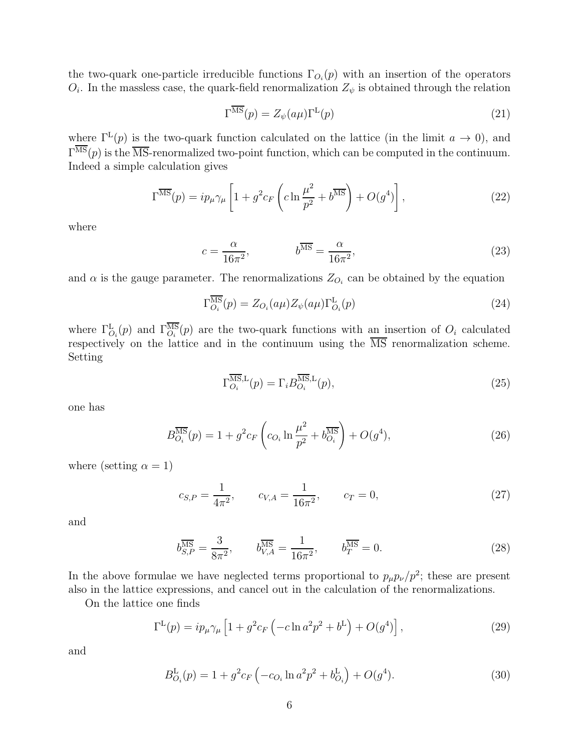<span id="page-5-0"></span>the two-quark one-particle irreducible functions  $\Gamma_{O_i}(p)$  with an insertion of the operators  $O_i$ . In the massless case, the quark-field renormalization  $Z_{\psi}$  is obtained through the relation

$$
\Gamma^{\overline{\rm MS}}(p) = Z_{\psi}(a\mu)\Gamma^{\rm L}(p) \tag{21}
$$

where  $\Gamma^L(p)$  is the two-quark function calculated on the lattice (in the limit  $a \to 0$ ), and  $\Gamma^{\text{MS}}(p)$  is the  $\overline{\text{MS}}$ -renormalized two-point function, which can be computed in the continuum. Indeed a simple calculation gives

$$
\Gamma^{\overline{\rm MS}}(p) = ip_{\mu}\gamma_{\mu} \left[ 1 + g^2 c_F \left( c \ln \frac{\mu^2}{p^2} + b^{\overline{\rm MS}} \right) + O(g^4) \right],\tag{22}
$$

where

$$
c = \frac{\alpha}{16\pi^2}, \qquad b^{\overline{\rm MS}} = \frac{\alpha}{16\pi^2}, \qquad (23)
$$

and  $\alpha$  is the gauge parameter. The renormalizations  $Z_{O_i}$  can be obtained by the equation

$$
\Gamma_{O_i}^{\overline{\text{MS}}}(p) = Z_{O_i}(a\mu) Z_{\psi}(a\mu) \Gamma_{O_i}^{\text{L}}(p) \tag{24}
$$

where  $\Gamma_{O_i}^{\text{L}}(p)$  and  $\Gamma_{O_i}^{\text{MS}}(p)$  are the two-quark functions with an insertion of  $O_i$  calculated respectively on the lattice and in the continuum using the MS renormalization scheme. Setting

$$
\Gamma_{O_i}^{\overline{\text{MS}},\text{L}}(p) = \Gamma_i B_{O_i}^{\overline{\text{MS}},\text{L}}(p),\tag{25}
$$

one has

$$
B_{O_i}^{\overline{\rm MS}}(p) = 1 + g^2 c_F \left( c_{O_i} \ln \frac{\mu^2}{p^2} + b_{O_i}^{\overline{\rm MS}} \right) + O(g^4),\tag{26}
$$

where (setting  $\alpha = 1$ )

$$
c_{S,P} = \frac{1}{4\pi^2}, \qquad c_{V,A} = \frac{1}{16\pi^2}, \qquad c_T = 0,
$$
\n(27)

and

$$
b_{S,P}^{\overline{\rm MS}} = \frac{3}{8\pi^2}, \qquad b_{V,A}^{\overline{\rm MS}} = \frac{1}{16\pi^2}, \qquad b_T^{\overline{\rm MS}} = 0.
$$
 (28)

In the above formulae we have neglected terms proportional to  $p_{\mu}p_{\nu}/p^2$ ; these are present also in the lattice expressions, and cancel out in the calculation of the renormalizations.

On the lattice one finds

$$
\Gamma^{\mathcal{L}}(p) = ip_{\mu}\gamma_{\mu} \left[ 1 + g^{2}c_{F} \left( -c\ln a^{2}p^{2} + b^{L} \right) + O(g^{4}) \right],
$$
\n(29)

and

$$
B_{O_i}^{\mathcal{L}}(p) = 1 + g^2 c_F \left( -c_{O_i} \ln a^2 p^2 + b_{O_i}^{\mathcal{L}} \right) + O(g^4). \tag{30}
$$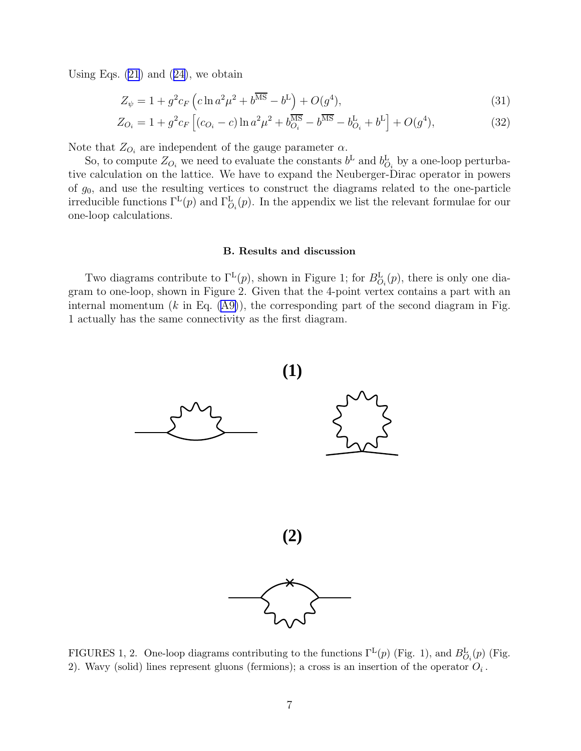UsingEqs.  $(21)$  and  $(24)$  $(24)$ , we obtain

$$
Z_{\psi} = 1 + g^2 c_F \left( c \ln a^2 \mu^2 + b^{\overline{\text{MS}}} - b^{\overline{\text{L}}} \right) + O(g^4), \tag{31}
$$

$$
Z_{O_i} = 1 + g^2 c_F \left[ (c_{O_i} - c) \ln a^2 \mu^2 + b_{O_i}^{\overline{\text{MS}}} - b_{O_i}^{\overline{\text{MS}}} - b_{O_i}^{\overline{\text{L}}} + b^{\overline{\text{L}}} \right] + O(g^4), \tag{32}
$$

Note that  $Z_{O_i}$  are independent of the gauge parameter  $\alpha$ .

So, to compute  $Z_{O_i}$  we need to evaluate the constants  $b^L$  and  $b_{O_i}^L$  by a one-loop perturbative calculation on the lattice. We have to expand the Neuberger-Dirac operator in powers of  $g_0$ , and use the resulting vertices to construct the diagrams related to the one-particle irreducible functions  $\Gamma^L(p)$  and  $\Gamma^L_{O_i}(p)$ . In the appendix we list the relevant formulae for our one-loop calculations.

#### B. Results and discussion

Two diagrams contribute to  $\Gamma^L(p)$ , shown in Figure 1; for  $B^L_{O_i}(p)$ , there is only one diagram to one-loop, shown in Figure 2. Given that the 4-point vertex contains a part with an internalmomentum  $(k \text{ in Eq. (A9)}),$  $(k \text{ in Eq. (A9)}),$  $(k \text{ in Eq. (A9)}),$  the corresponding part of the second diagram in Fig. 1 actually has the same connectivity as the first diagram.



FIGURES 1, 2. One-loop diagrams contributing to the functions  $\Gamma^L(p)$  (Fig. 1), and  $B_{O_i}^L(p)$  (Fig. 2). Wavy (solid) lines represent gluons (fermions); a cross is an insertion of the operator  $O_i$ .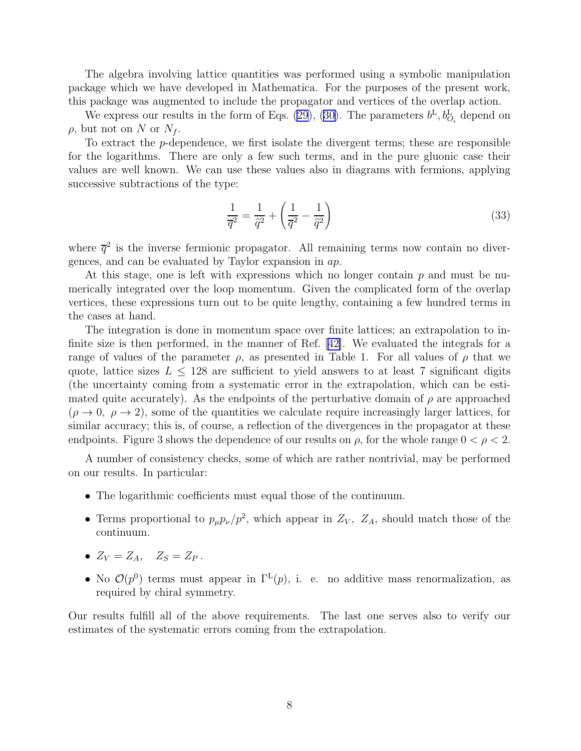The algebra involving lattice quantities was performed using a symbolic manipulation package which we have developed in Mathematica. For the purposes of the present work, this package was augmented to include the propagator and vertices of the overlap action.

We express our results in the form of Eqs. [\(29](#page-5-0)), [\(30\)](#page-5-0). The parameters  $b^L, b^L_{O_i}$  depend on  $\rho$ , but not on N or  $N_f$ .

To extract the p-dependence, we first isolate the divergent terms; these are responsible for the logarithms. There are only a few such terms, and in the pure gluonic case their values are well known. We can use these values also in diagrams with fermions, applying successive subtractions of the type:

$$
\frac{1}{\overline{q}^2} = \frac{1}{\widehat{q}^2} + \left(\frac{1}{\overline{q}^2} - \frac{1}{\widehat{q}^2}\right) \tag{33}
$$

where  $\bar{q}^2$  is the inverse fermionic propagator. All remaining terms now contain no divergences, and can be evaluated by Taylor expansion in ap.

At this stage, one is left with expressions which no longer contain  $p$  and must be numerically integrated over the loop momentum. Given the complicated form of the overlap vertices, these expressions turn out to be quite lengthy, containing a few hundred terms in the cases at hand.

The integration is done in momentum space over finite lattices; an extrapolation to infinite size is then performed, in the manner of Ref.[[42\]](#page-13-0). We evaluated the integrals for a range of values of the parameter  $\rho$ , as presented in Table 1. For all values of  $\rho$  that we quote, lattice sizes  $L \leq 128$  are sufficient to yield answers to at least 7 significant digits (the uncertainty coming from a systematic error in the extrapolation, which can be estimated quite accurately). As the endpoints of the perturbative domain of  $\rho$  are approached  $(\rho \to 0, \ \rho \to 2)$ , some of the quantities we calculate require increasingly larger lattices, for similar accuracy; this is, of course, a reflection of the divergences in the propagator at these endpoints. Figure 3 shows the dependence of our results on  $\rho$ , for the whole range  $0 < \rho < 2$ .

A number of consistency checks, some of which are rather nontrivial, may be performed on our results. In particular:

- The logarithmic coefficients must equal those of the continuum.
- Terms proportional to  $p_{\mu}p_{\nu}/p^2$ , which appear in  $Z_V$ ,  $Z_A$ , should match those of the continuum.
- $Z_V = Z_A$ ,  $Z_S = Z_P$ .
- No  $\mathcal{O}(p^0)$  terms must appear in  $\Gamma^L(p)$ , i. e. no additive mass renormalization, as required by chiral symmetry.

Our results fulfill all of the above requirements. The last one serves also to verify our estimates of the systematic errors coming from the extrapolation.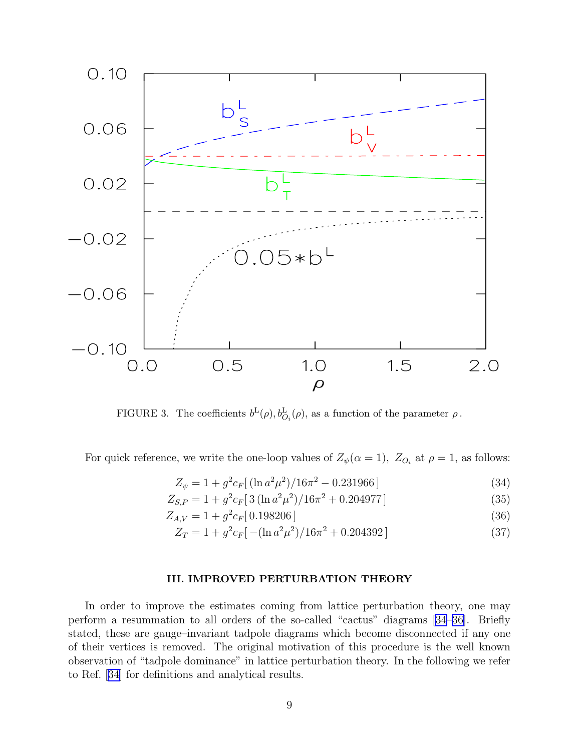<span id="page-8-0"></span>

FIGURE 3. The coefficients  $b^{\text{L}}(\rho), b^{\text{L}}_{\mathcal{O}_i}(\rho)$ , as a function of the parameter  $\rho$ .

For quick reference, we write the one-loop values of  $Z_{\psi}(\alpha = 1)$ ,  $Z_{O_i}$  at  $\rho = 1$ , as follows:

$$
Z_{\psi} = 1 + g^2 c_F \left[ (\ln a^2 \mu^2) / 16\pi^2 - 0.231966 \right] \tag{34}
$$

$$
Z_{S,P} = 1 + g^2 c_F \left[ 3 \left( \ln a^2 \mu^2 \right) / 16 \pi^2 + 0.204977 \right] \tag{35}
$$

$$
Z_{A,V} = 1 + g^2 c_F [0.198206]
$$
\n(36)

$$
Z_T = 1 + g^2 c_F \left[ -( \ln a^2 \mu^2)/16\pi^2 + 0.204392 \right] \tag{37}
$$

## III. IMPROVED PERTURBATION THEORY

In order to improve the estimates coming from lattice perturbation theory, one may perform a resummation to all orders of the so-called "cactus" diagrams [\[34–36\]](#page-13-0). Briefly stated, these are gauge–invariant tadpole diagrams which become disconnected if any one of their vertices is removed. The original motivation of this procedure is the well known observation of "tadpole dominance" in lattice perturbation theory. In the following we refer to Ref. [\[34\]](#page-13-0) for definitions and analytical results.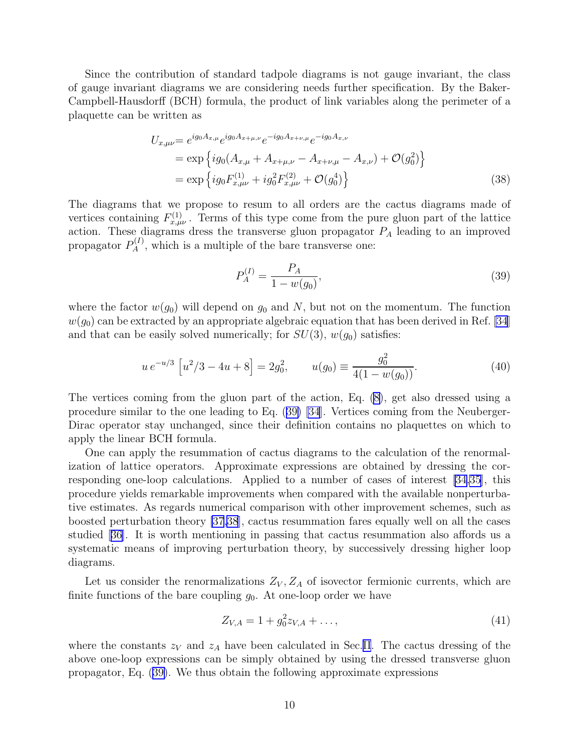Since the contribution of standard tadpole diagrams is not gauge invariant, the class of gauge invariant diagrams we are considering needs further specification. By the Baker-Campbell-Hausdorff (BCH) formula, the product of link variables along the perimeter of a plaquette can be written as

$$
U_{x,\mu\nu} = e^{ig_0 A_{x,\mu}} e^{ig_0 A_{x+\mu,\nu}} e^{-ig_0 A_{x+\nu,\mu}} e^{-ig_0 A_{x,\nu}}
$$
  
=  $\exp \left\{ ig_0 (A_{x,\mu} + A_{x+\mu,\nu} - A_{x+\nu,\mu} - A_{x,\nu}) + \mathcal{O}(g_0^2) \right\}$   
=  $\exp \left\{ ig_0 F_{x,\mu\nu}^{(1)} + ig_0^2 F_{x,\mu\nu}^{(2)} + \mathcal{O}(g_0^4) \right\}$  (38)

The diagrams that we propose to resum to all orders are the cactus diagrams made of vertices containing  $F_{x,\mu\nu}^{(1)}$ . Terms of this type come from the pure gluon part of the lattice action. These diagrams dress the transverse gluon propagator  $P_A$  leading to an improved propagator  $P_A^{(I)}$ , which is a multiple of the bare transverse one:

$$
P_A^{(I)} = \frac{P_A}{1 - w(g_0)},\tag{39}
$$

where the factor  $w(g_0)$  will depend on  $g_0$  and N, but not on the momentum. The function  $w(g_0)$  can be extracted by an appropriate algebraic equation that has been derived in Ref. [\[34](#page-13-0)] and that can be easily solved numerically; for  $SU(3)$ ,  $w(g_0)$  satisfies:

$$
u e^{-u/3} \left[ u^2/3 - 4u + 8 \right] = 2g_0^2, \qquad u(g_0) \equiv \frac{g_0^2}{4(1 - w(g_0))}.
$$
 (40)

The vertices coming from the gluon part of the action, Eq. [\(8](#page-3-0)), get also dressed using a procedure similar to the one leading to Eq. (39) [\[34](#page-13-0)]. Vertices coming from the Neuberger-Dirac operator stay unchanged, since their definition contains no plaquettes on which to apply the linear BCH formula.

One can apply the resummation of cactus diagrams to the calculation of the renormalization of lattice operators. Approximate expressions are obtained by dressing the corresponding one-loop calculations. Applied to a number of cases of interest [\[34,35\]](#page-13-0), this procedure yields remarkable improvements when compared with the available nonperturbative estimates. As regards numerical comparison with other improvement schemes, such as boosted perturbation theory [\[37,38](#page-13-0)], cactus resummation fares equally well on all the cases studied[[36\]](#page-13-0). It is worth mentioning in passing that cactus resummation also affords us a systematic means of improving perturbation theory, by successively dressing higher loop diagrams.

Let us consider the renormalizations  $Z_V, Z_A$  of isovector fermionic currents, which are finite functions of the bare coupling  $g_0$ . At one-loop order we have

$$
Z_{V,A} = 1 + g_0^2 z_{V,A} + \dots,\tag{41}
$$

where the constants  $z_V$  and  $z_A$  have been calculated in Sec.[II](#page-3-0). The cactus dressing of the above one-loop expressions can be simply obtained by using the dressed transverse gluon propagator, Eq. (39). We thus obtain the following approximate expressions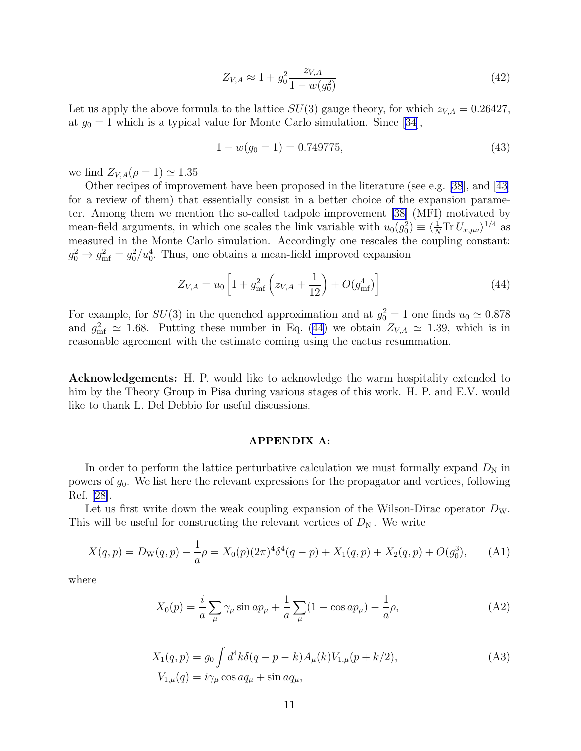$$
Z_{V,A} \approx 1 + g_0^2 \frac{z_{V,A}}{1 - w(g_0^2)}
$$
\n(42)

Let us apply the above formula to the lattice  $SU(3)$  gauge theory, for which  $z_{V,A} = 0.26427$ , at  $g_0 = 1$  which is a typical value for Monte Carlo simulation. Since [\[34](#page-13-0)],

$$
1 - w(g_0 = 1) = 0.749775,\tag{43}
$$

we find  $Z_{V,A}(\rho=1) \simeq 1.35$ 

Other recipes of improvement have been proposed in the literature (see e.g. [\[38](#page-13-0)], and [\[43](#page-13-0)] for a review of them) that essentially consist in a better choice of the expansion parameter. Among them we mention the so-called tadpole improvement [\[38](#page-13-0)] (MFI) motivated by mean-field arguments, in which one scales the link variable with  $u_0(g_0^2) \equiv \langle \frac{1}{N} \text{Tr} U_{x,\mu\nu} \rangle^{1/4}$  as measured in the Monte Carlo simulation. Accordingly one rescales the coupling constant:  $g_0^2 \to g_{\rm mf}^2 = g_0^2/u_0^4$ . Thus, one obtains a mean-field improved expansion

$$
Z_{V,A} = u_0 \left[ 1 + g_{\text{mf}}^2 \left( z_{V,A} + \frac{1}{12} \right) + O(g_{\text{mf}}^4) \right]
$$
 (44)

For example, for  $SU(3)$  in the quenched approximation and at  $g_0^2 = 1$  one finds  $u_0 \simeq 0.878$ and  $g_{\text{mf}}^2 \simeq 1.68$ . Putting these number in Eq. (44) we obtain  $Z_{V,A} \simeq 1.39$ , which is in reasonable agreement with the estimate coming using the cactus resummation.

Acknowledgements: H. P. would like to acknowledge the warm hospitality extended to him by the Theory Group in Pisa during various stages of this work. H. P. and E.V. would like to thank L. Del Debbio for useful discussions.

### APPENDIX A:

In order to perform the lattice perturbative calculation we must formally expand  $D<sub>N</sub>$  in powers of  $g_0$ . We list here the relevant expressions for the propagator and vertices, following Ref.[[28\]](#page-13-0).

Let us first write down the weak coupling expansion of the Wilson-Dirac operator  $D_W$ . This will be useful for constructing the relevant vertices of  $D_N$ . We write

$$
X(q,p) = D_{\mathcal{W}}(q,p) - \frac{1}{a}\rho = X_0(p)(2\pi)^4 \delta^4(q-p) + X_1(q,p) + X_2(q,p) + O(g_0^3), \tag{A1}
$$

where

$$
X_0(p) = \frac{i}{a} \sum_{\mu} \gamma_{\mu} \sin a p_{\mu} + \frac{1}{a} \sum_{\mu} (1 - \cos a p_{\mu}) - \frac{1}{a} \rho,
$$
 (A2)

$$
X_1(q, p) = g_0 \int d^4k \delta(q - p - k) A_\mu(k) V_{1,\mu}(p + k/2),
$$
  
\n
$$
V_{1,\mu}(q) = i \gamma_\mu \cos a q_\mu + \sin a q_\mu,
$$
\n(A3)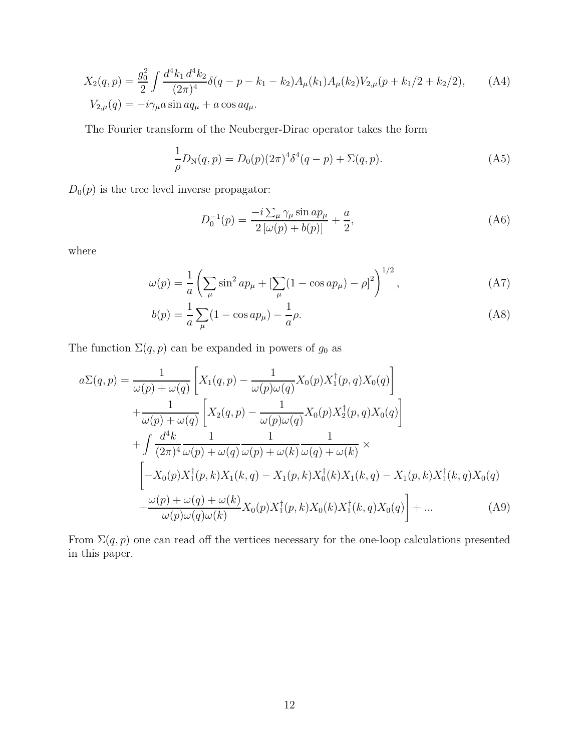<span id="page-11-0"></span>
$$
X_2(q,p) = \frac{g_0^2}{2} \int \frac{d^4 k_1 d^4 k_2}{(2\pi)^4} \delta(q-p-k_1-k_2) A_\mu(k_1) A_\mu(k_2) V_{2,\mu}(p+k_1/2+k_2/2), \quad (A4)
$$
  
\n
$$
V_{2,\mu}(q) = -i \gamma_\mu a \sin a q_\mu + a \cos a q_\mu.
$$

The Fourier transform of the Neuberger-Dirac operator takes the form

$$
\frac{1}{\rho}D_N(q, p) = D_0(p)(2\pi)^4 \delta^4(q - p) + \Sigma(q, p). \tag{A5}
$$

 $D_0(p)$  is the tree level inverse propagator:

$$
D_0^{-1}(p) = \frac{-i\sum_{\mu}\gamma_{\mu}\sin ap_{\mu}}{2\left[\omega(p) + b(p)\right]} + \frac{a}{2},\tag{A6}
$$

where

$$
\omega(p) = \frac{1}{a} \left( \sum_{\mu} \sin^2 ap_{\mu} + \left[ \sum_{\mu} (1 - \cos ap_{\mu}) - \rho \right]^2 \right)^{1/2},
$$
 (A7)

$$
b(p) = \frac{1}{a} \sum_{\mu} (1 - \cos ap_{\mu}) - \frac{1}{a} \rho.
$$
 (A8)

The function  $\Sigma(q, p)$  can be expanded in powers of  $g_0$  as

$$
a\Sigma(q,p) = \frac{1}{\omega(p) + \omega(q)} \left[ X_1(q,p) - \frac{1}{\omega(p)\omega(q)} X_0(p) X_1^{\dagger}(p,q) X_0(q) \right] + \frac{1}{\omega(p) + \omega(q)} \left[ X_2(q,p) - \frac{1}{\omega(p)\omega(q)} X_0(p) X_2^{\dagger}(p,q) X_0(q) \right] + \int \frac{d^4k}{(2\pi)^4} \frac{1}{\omega(p) + \omega(q)} \frac{1}{\omega(p) + \omega(k)} \frac{1}{\omega(q) + \omega(k)} \times - X_0(p) X_1^{\dagger}(p,k) X_1(k,q) - X_1(p,k) X_0^{\dagger}(k) X_1(k,q) - X_1(p,k) X_1^{\dagger}(k,q) X_0(q) + \frac{\omega(p) + \omega(q) + \omega(k)}{\omega(p)\omega(q)\omega(k)} X_0(p) X_1^{\dagger}(p,k) X_0(k) X_1^{\dagger}(k,q) X_0(q) \right] + ... \tag{A9}
$$

From  $\Sigma(q, p)$  one can read off the vertices necessary for the one-loop calculations presented in this paper.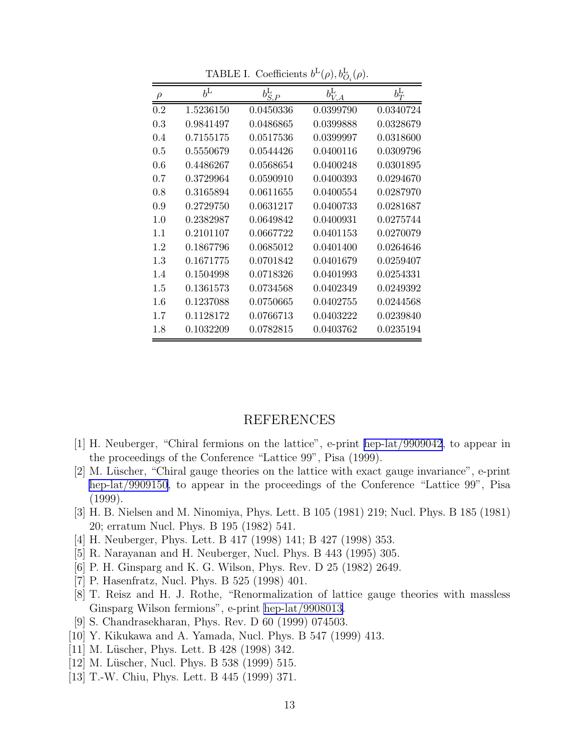<span id="page-12-0"></span>

| $\rho$ | $b^{\text{L}}$ | $b^{\rm L}_{S,P}$ | $b_{V,\underline{A}}^{\mathrm{L}}$ | $b_T^{\rm L}$ |
|--------|----------------|-------------------|------------------------------------|---------------|
| 0.2    | 1.5236150      | 0.0450336         | 0.0399790                          | 0.0340724     |
| 0.3    | 0.9841497      | 0.0486865         | 0.0399888                          | 0.0328679     |
| 0.4    | 0.7155175      | 0.0517536         | 0.0399997                          | 0.0318600     |
| 0.5    | 0.5550679      | 0.0544426         | 0.0400116                          | 0.0309796     |
| 0.6    | 0.4486267      | 0.0568654         | 0.0400248                          | 0.0301895     |
| 0.7    | 0.3729964      | 0.0590910         | 0.0400393                          | 0.0294670     |
| 0.8    | 0.3165894      | 0.0611655         | 0.0400554                          | 0.0287970     |
| 0.9    | 0.2729750      | 0.0631217         | 0.0400733                          | 0.0281687     |
| 1.0    | 0.2382987      | 0.0649842         | 0.0400931                          | 0.0275744     |
| 1.1    | 0.2101107      | 0.0667722         | 0.0401153                          | 0.0270079     |
| 1.2    | 0.1867796      | 0.0685012         | 0.0401400                          | 0.0264646     |
| 1.3    | 0.1671775      | 0.0701842         | 0.0401679                          | 0.0259407     |
| 1.4    | 0.1504998      | 0.0718326         | 0.0401993                          | 0.0254331     |
| 1.5    | 0.1361573      | 0.0734568         | 0.0402349                          | 0.0249392     |
| 1.6    | 0.1237088      | 0.0750665         | 0.0402755                          | 0.0244568     |
| 1.7    | 0.1128172      | 0.0766713         | 0.0403222                          | 0.0239840     |
| 1.8    | 0.1032209      | 0.0782815         | 0.0403762                          | 0.0235194     |

TABLE I. Coefficients  $b^{\text{L}}(\rho), b^{\text{L}}_{O_i}(\rho)$ .

# REFERENCES

- [1] H. Neuberger, "Chiral fermions on the lattice", e-print [hep-lat/9909042](http://arxiv.org/abs/hep-lat/9909042), to appear in the proceedings of the Conference "Lattice 99", Pisa (1999).
- [2] M. Lüscher, "Chiral gauge theories on the lattice with exact gauge invariance", e-print [hep-lat/9909150](http://arxiv.org/abs/hep-lat/9909150), to appear in the proceedings of the Conference "Lattice 99", Pisa (1999).
- [3] H. B. Nielsen and M. Ninomiya, Phys. Lett. B 105 (1981) 219; Nucl. Phys. B 185 (1981) 20; erratum Nucl. Phys. B 195 (1982) 541.
- [4] H. Neuberger, Phys. Lett. B 417 (1998) 141; B 427 (1998) 353.
- [5] R. Narayanan and H. Neuberger, Nucl. Phys. B 443 (1995) 305.
- [6] P. H. Ginsparg and K. G. Wilson, Phys. Rev. D 25 (1982) 2649.
- [7] P. Hasenfratz, Nucl. Phys. B 525 (1998) 401.
- [8] T. Reisz and H. J. Rothe, "Renormalization of lattice gauge theories with massless Ginsparg Wilson fermions", e-print [hep-lat/9908013.](http://arxiv.org/abs/hep-lat/9908013)
- [9] S. Chandrasekharan, Phys. Rev. D 60 (1999) 074503.
- [10] Y. Kikukawa and A. Yamada, Nucl. Phys. B 547 (1999) 413.
- [11] M. Lüscher, Phys. Lett. B 428 (1998) 342.
- [12] M. Lüscher, Nucl. Phys. B 538 (1999) 515.
- [13] T.-W. Chiu, Phys. Lett. B 445 (1999) 371.